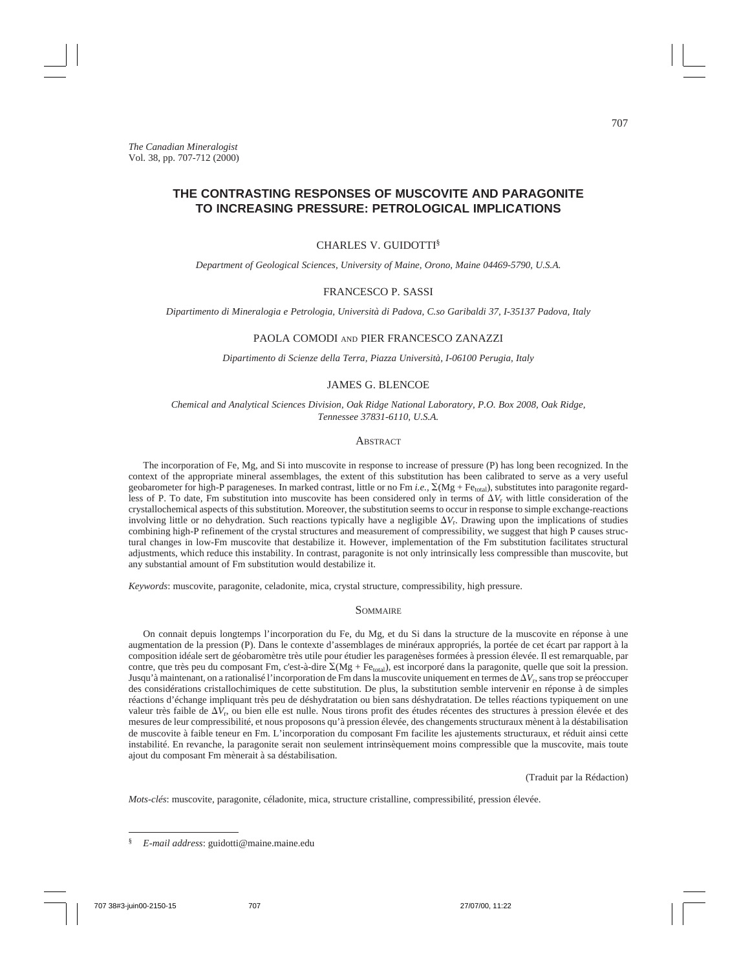# **THE CONTRASTING RESPONSES OF MUSCOVITE AND PARAGONITE TO INCREASING PRESSURE: PETROLOGICAL IMPLICATIONS**

## CHARLES V. GUIDOTTI§

*Department of Geological Sciences, University of Maine, Orono, Maine 04469-5790, U.S.A.*

# FRANCESCO P. SASSI

*Dipartimento di Mineralogia e Petrologia, Università di Padova, C.so Garibaldi 37, I-35137 Padova, Italy*

# PAOLA COMODI AND PIER FRANCESCO ZANAZZI

*Dipartimento di Scienze della Terra, Piazza Università, I-06100 Perugia, Italy*

# JAMES G. BLENCOE

*Chemical and Analytical Sciences Division, Oak Ridge National Laboratory, P.O. Box 2008, Oak Ridge, Tennessee 37831-6110, U.S.A.*

# **ABSTRACT**

The incorporation of Fe, Mg, and Si into muscovite in response to increase of pressure (P) has long been recognized. In the context of the appropriate mineral assemblages, the extent of this substitution has been calibrated to serve as a very useful geobarometer for high-P parageneses. In marked contrast, little or no Fm *i.e.,* S(Mg + Fetotal), substitutes into paragonite regardless of P. To date, Fm substitution into muscovite has been considered only in terms of  $\Delta V_r$  with little consideration of the crystallochemical aspects of this substitution. Moreover, the substitution seems to occur in response to simple exchange-reactions involving little or no dehydration. Such reactions typically have a negligible  $\Delta V_r$ . Drawing upon the implications of studies combining high-P refinement of the crystal structures and measurement of compressibility, we suggest that high P causes structural changes in low-Fm muscovite that destabilize it. However, implementation of the Fm substitution facilitates structural adjustments, which reduce this instability. In contrast, paragonite is not only intrinsically less compressible than muscovite, but any substantial amount of Fm substitution would destabilize it.

*Keywords*: muscovite, paragonite, celadonite, mica, crystal structure, compressibility, high pressure.

#### **SOMMAIRE**

On connait depuis longtemps l'incorporation du Fe, du Mg, et du Si dans la structure de la muscovite en réponse à une augmentation de la pression (P). Dans le contexte d'assemblages de minéraux appropriés, la portée de cet écart par rapport à la composition idéale sert de géobaromètre très utile pour étudier les paragenèses formées à pression élevée. Il est remarquable, par contre, que très peu du composant Fm, c'est-à-dire  $\Sigma(Mg + Fe_{total})$ , est incorporé dans la paragonite, quelle que soit la pression. Jusqu'à maintenant, on a rationalisé l'incorporation de Fm dans la muscovite uniquement en termes de  $\Delta V_r$ , sans trop se préoccuper des considérations cristallochimiques de cette substitution. De plus, la substitution semble intervenir en réponse à de simples réactions d'échange impliquant très peu de déshydratation ou bien sans déshydratation. De telles réactions typiquement on une valeur très faible de D*V*r, ou bien elle est nulle. Nous tirons profit des études récentes des structures à pression élevée et des mesures de leur compressibilité, et nous proposons qu'à pression élevée, des changements structuraux mènent à la déstabilisation de muscovite à faible teneur en Fm. L'incorporation du composant Fm facilite les ajustements structuraux, et réduit ainsi cette instabilité. En revanche, la paragonite serait non seulement intrinsèquement moins compressible que la muscovite, mais toute ajout du composant Fm mènerait à sa déstabilisation.

(Traduit par la Rédaction)

*Mots-clés*: muscovite, paragonite, céladonite, mica, structure cristalline, compressibilité, pression élevée.

<sup>§</sup> *E-mail address*: guidotti@maine.maine.edu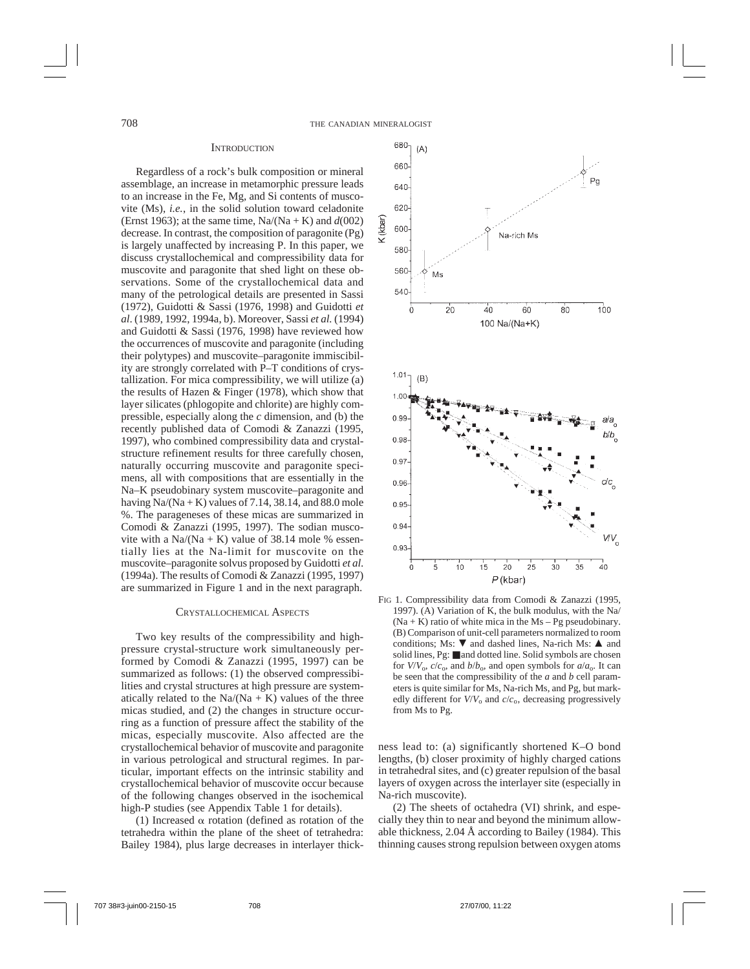## **INTRODUCTION**

Regardless of a rock's bulk composition or mineral assemblage, an increase in metamorphic pressure leads to an increase in the Fe, Mg, and Si contents of muscovite (Ms), *i.e.*, in the solid solution toward celadonite (Ernst 1963); at the same time,  $Na/(Na + K)$  and  $d(002)$ decrease. In contrast, the composition of paragonite (Pg) is largely unaffected by increasing P. In this paper, we discuss crystallochemical and compressibility data for muscovite and paragonite that shed light on these observations. Some of the crystallochemical data and many of the petrological details are presented in Sassi (1972), Guidotti & Sassi (1976, 1998) and Guidotti *et al*. (1989, 1992, 1994a, b). Moreover, Sassi *et al.* (1994) and Guidotti & Sassi (1976, 1998) have reviewed how the occurrences of muscovite and paragonite (including their polytypes) and muscovite–paragonite immiscibility are strongly correlated with P–T conditions of crystallization. For mica compressibility, we will utilize (a) the results of Hazen & Finger (1978), which show that layer silicates (phlogopite and chlorite) are highly compressible, especially along the *c* dimension, and (b) the recently published data of Comodi & Zanazzi (1995, 1997), who combined compressibility data and crystalstructure refinement results for three carefully chosen, naturally occurring muscovite and paragonite specimens, all with compositions that are essentially in the Na–K pseudobinary system muscovite–paragonite and having  $Na/(Na + K)$  values of 7.14, 38.14, and 88.0 mole %. The parageneses of these micas are summarized in Comodi & Zanazzi (1995, 1997). The sodian muscovite with a Na/(Na + K) value of 38.14 mole % essentially lies at the Na-limit for muscovite on the muscovite–paragonite solvus proposed by Guidotti *et al*. (1994a). The results of Comodi & Zanazzi (1995, 1997) are summarized in Figure 1 and in the next paragraph.

#### CRYSTALLOCHEMICAL ASPECTS

Two key results of the compressibility and highpressure crystal-structure work simultaneously performed by Comodi & Zanazzi (1995, 1997) can be summarized as follows: (1) the observed compressibilities and crystal structures at high pressure are systematically related to the  $Na/(Na + K)$  values of the three micas studied, and (2) the changes in structure occurring as a function of pressure affect the stability of the micas, especially muscovite. Also affected are the crystallochemical behavior of muscovite and paragonite in various petrological and structural regimes. In particular, important effects on the intrinsic stability and crystallochemical behavior of muscovite occur because of the following changes observed in the isochemical high-P studies (see Appendix Table 1 for details).

(1) Increased  $\alpha$  rotation (defined as rotation of the tetrahedra within the plane of the sheet of tetrahedra: Bailey 1984), plus large decreases in interlayer thick-



FIG 1. Compressibility data from Comodi & Zanazzi (1995, 1997). (A) Variation of K, the bulk modulus, with the Na/  $(Na + K)$  ratio of white mica in the Ms – Pg pseudobinary. (B) Comparison of unit-cell parameters normalized to room conditions; Ms:  $\nabla$  and dashed lines, Na-rich Ms:  $\triangle$  and solid lines, Pg: ■ and dotted line. Solid symbols are chosen for  $V/V_0$ ,  $c/c_0$ , and  $b/b_0$ , and open symbols for  $a/a_0$ . It can be seen that the compressibility of the *a* and *b* cell parameters is quite similar for Ms, Na-rich Ms, and Pg, but markedly different for *V*/*V*o and *c*/*c*o, decreasing progressively from Ms to Pg.

ness lead to: (a) significantly shortened K–O bond lengths, (b) closer proximity of highly charged cations in tetrahedral sites, and (c) greater repulsion of the basal layers of oxygen across the interlayer site (especially in Na-rich muscovite).

(2) The sheets of octahedra (VI) shrink, and especially they thin to near and beyond the minimum allowable thickness, 2.04 Å according to Bailey (1984). This thinning causes strong repulsion between oxygen atoms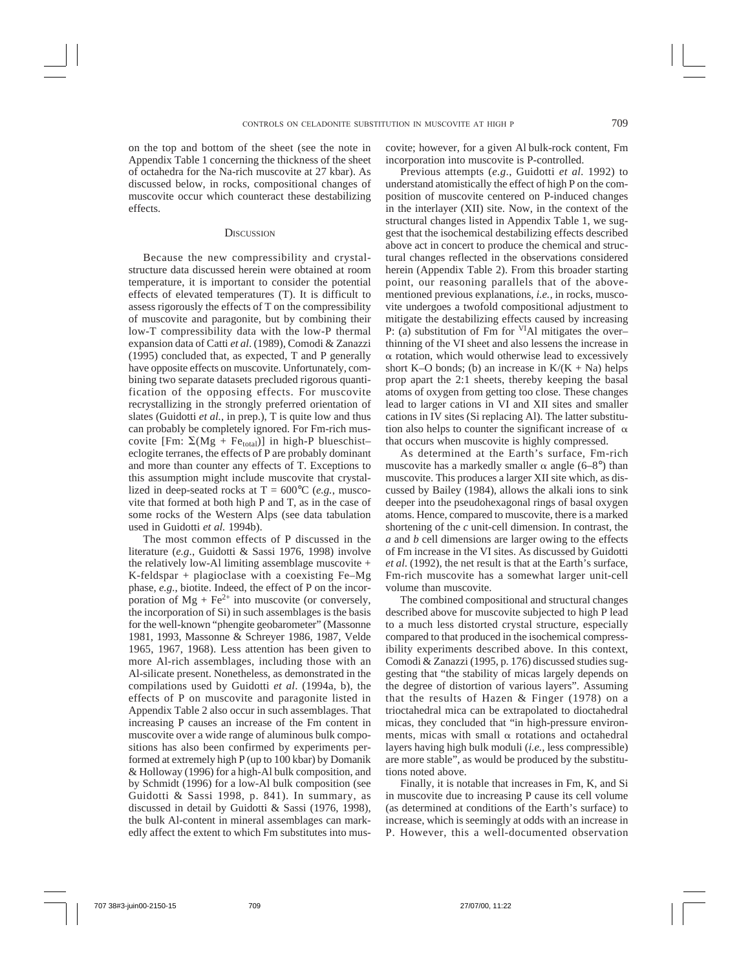on the top and bottom of the sheet (see the note in Appendix Table 1 concerning the thickness of the sheet of octahedra for the Na-rich muscovite at 27 kbar). As discussed below, in rocks, compositional changes of muscovite occur which counteract these destabilizing effects.

## **DISCUSSION**

Because the new compressibility and crystalstructure data discussed herein were obtained at room temperature, it is important to consider the potential effects of elevated temperatures (T). It is difficult to assess rigorously the effects of T on the compressibility of muscovite and paragonite, but by combining their low-T compressibility data with the low-P thermal expansion data of Catti *et al*. (1989), Comodi & Zanazzi (1995) concluded that, as expected, T and P generally have opposite effects on muscovite. Unfortunately, combining two separate datasets precluded rigorous quantification of the opposing effects. For muscovite recrystallizing in the strongly preferred orientation of slates (Guidotti *et al.*, in prep.), T is quite low and thus can probably be completely ignored. For Fm-rich muscovite [Fm:  $\Sigma(Mg + Fe_{total})$ ] in high-P blueschisteclogite terranes, the effects of P are probably dominant and more than counter any effects of T. Exceptions to this assumption might include muscovite that crystallized in deep-seated rocks at  $T = 600^{\circ}C$  (*e.g.*, muscovite that formed at both high P and T, as in the case of some rocks of the Western Alps (see data tabulation used in Guidotti *et al.* 1994b).

The most common effects of P discussed in the literature (*e.g*., Guidotti & Sassi 1976, 1998) involve the relatively low-Al limiting assemblage muscovite + K-feldspar + plagioclase with a coexisting Fe–Mg phase, *e.g.*, biotite. Indeed, the effect of P on the incorporation of  $Mg + Fe^{2+}$  into muscovite (or conversely, the incorporation of Si) in such assemblages is the basis for the well-known "phengite geobarometer" (Massonne 1981, 1993, Massonne & Schreyer 1986, 1987, Velde 1965, 1967, 1968). Less attention has been given to more Al-rich assemblages, including those with an Al-silicate present. Nonetheless, as demonstrated in the compilations used by Guidotti *et al*. (1994a, b), the effects of P on muscovite and paragonite listed in Appendix Table 2 also occur in such assemblages. That increasing P causes an increase of the Fm content in muscovite over a wide range of aluminous bulk compositions has also been confirmed by experiments performed at extremely high P (up to 100 kbar) by Domanik & Holloway (1996) for a high-Al bulk composition, and by Schmidt (1996) for a low-Al bulk composition (see Guidotti & Sassi 1998, p. 841). In summary, as discussed in detail by Guidotti & Sassi (1976, 1998), the bulk Al-content in mineral assemblages can markedly affect the extent to which Fm substitutes into muscovite; however, for a given Al bulk-rock content, Fm incorporation into muscovite is P-controlled.

Previous attempts (*e.g*., Guidotti *et al.* 1992) to understand atomistically the effect of high P on the composition of muscovite centered on P-induced changes in the interlayer (XII) site. Now, in the context of the structural changes listed in Appendix Table 1, we suggest that the isochemical destabilizing effects described above act in concert to produce the chemical and structural changes reflected in the observations considered herein (Appendix Table 2). From this broader starting point, our reasoning parallels that of the abovementioned previous explanations, *i.e.,* in rocks, muscovite undergoes a twofold compositional adjustment to mitigate the destabilizing effects caused by increasing P: (a) substitution of Fm for  $VIA1$  mitigates the overthinning of the VI sheet and also lessens the increase in  $\alpha$  rotation, which would otherwise lead to excessively short K–O bonds; (b) an increase in  $K/(K + Na)$  helps prop apart the 2:1 sheets, thereby keeping the basal atoms of oxygen from getting too close. These changes lead to larger cations in VI and XII sites and smaller cations in IV sites (Si replacing Al). The latter substitution also helps to counter the significant increase of  $\alpha$ that occurs when muscovite is highly compressed.

As determined at the Earth's surface, Fm-rich muscovite has a markedly smaller  $\alpha$  angle (6–8°) than muscovite. This produces a larger XII site which, as discussed by Bailey (1984), allows the alkali ions to sink deeper into the pseudohexagonal rings of basal oxygen atoms. Hence, compared to muscovite, there is a marked shortening of the *c* unit-cell dimension. In contrast, the *a* and *b* cell dimensions are larger owing to the effects of Fm increase in the VI sites. As discussed by Guidotti *et al*. (1992), the net result is that at the Earth's surface, Fm-rich muscovite has a somewhat larger unit-cell volume than muscovite.

The combined compositional and structural changes described above for muscovite subjected to high P lead to a much less distorted crystal structure, especially compared to that produced in the isochemical compressibility experiments described above. In this context, Comodi & Zanazzi (1995, p. 176) discussed studies suggesting that "the stability of micas largely depends on the degree of distortion of various layers". Assuming that the results of Hazen & Finger (1978) on a trioctahedral mica can be extrapolated to dioctahedral micas, they concluded that "in high-pressure environments, micas with small  $\alpha$  rotations and octahedral layers having high bulk moduli (*i.e.,* less compressible) are more stable", as would be produced by the substitutions noted above.

Finally, it is notable that increases in Fm, K, and Si in muscovite due to increasing P cause its cell volume (as determined at conditions of the Earth's surface) to increase, which is seemingly at odds with an increase in P. However, this a well-documented observation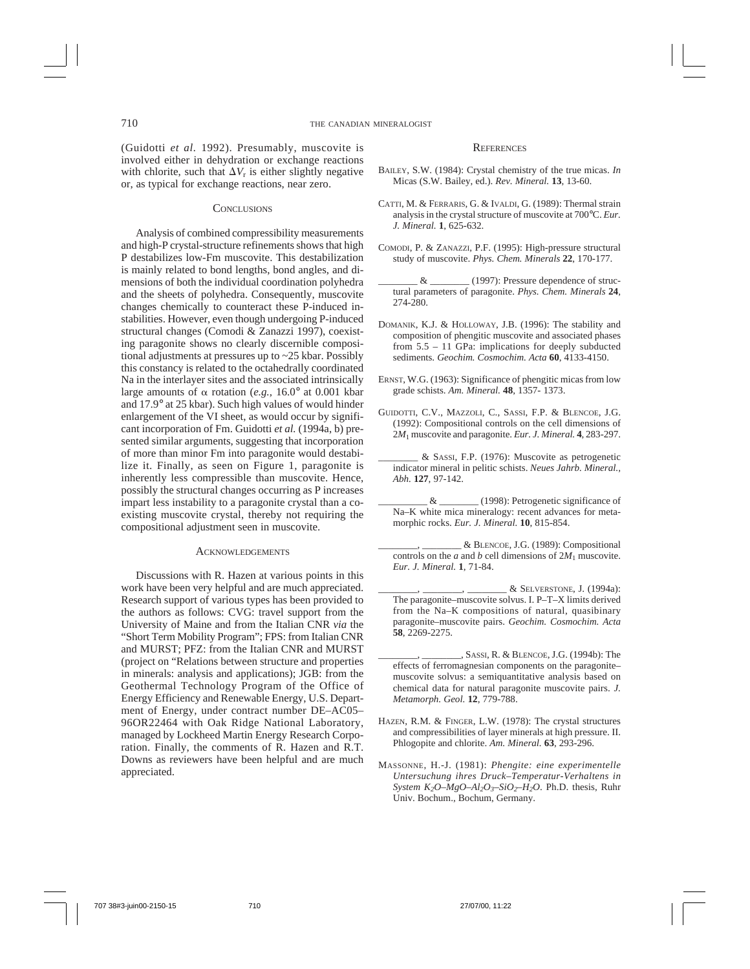(Guidotti *et al.* 1992). Presumably, muscovite is involved either in dehydration or exchange reactions with chlorite, such that  $\Delta V_r$  is either slightly negative or, as typical for exchange reactions, near zero.

## **CONCLUSIONS**

Analysis of combined compressibility measurements and high-P crystal-structure refinements shows that high P destabilizes low-Fm muscovite. This destabilization is mainly related to bond lengths, bond angles, and dimensions of both the individual coordination polyhedra and the sheets of polyhedra. Consequently, muscovite changes chemically to counteract these P-induced instabilities. However, even though undergoing P-induced structural changes (Comodi & Zanazzi 1997), coexisting paragonite shows no clearly discernible compositional adjustments at pressures up to ~25 kbar. Possibly this constancy is related to the octahedrally coordinated Na in the interlayer sites and the associated intrinsically large amounts of  $\alpha$  rotation (*e.g.*, 16.0° at 0.001 kbar and 17.9° at 25 kbar). Such high values of would hinder enlargement of the VI sheet, as would occur by significant incorporation of Fm. Guidotti *et al.* (1994a, b) presented similar arguments, suggesting that incorporation of more than minor Fm into paragonite would destabilize it. Finally, as seen on Figure 1, paragonite is inherently less compressible than muscovite. Hence, possibly the structural changes occurring as P increases impart less instability to a paragonite crystal than a coexisting muscovite crystal, thereby not requiring the compositional adjustment seen in muscovite.

#### **ACKNOWLEDGEMENTS**

Discussions with R. Hazen at various points in this work have been very helpful and are much appreciated. Research support of various types has been provided to the authors as follows: CVG: travel support from the University of Maine and from the Italian CNR *via* the "Short Term Mobility Program"; FPS: from Italian CNR and MURST; PFZ: from the Italian CNR and MURST (project on "Relations between structure and properties in minerals: analysis and applications); JGB: from the Geothermal Technology Program of the Office of Energy Efficiency and Renewable Energy, U.S. Department of Energy, under contract number DE–AC05– 96OR22464 with Oak Ridge National Laboratory, managed by Lockheed Martin Energy Research Corporation. Finally, the comments of R. Hazen and R.T. Downs as reviewers have been helpful and are much appreciated.

## **REFERENCES**

- BAILEY, S.W. (1984): Crystal chemistry of the true micas. *In* Micas (S.W. Bailey, ed.). *Rev. Mineral.* **13**, 13-60.
- CATTI, M. & FERRARIS, G. & IVALDI, G. (1989): Thermal strain analysis in the crystal structure of muscovite at 700°C. *Eur. J. Mineral.* **1**, 625-632.
- COMODI, P. & ZANAZZI, P.F. (1995): High-pressure structural study of muscovite. *Phys. Chem. Minerals* **22**, 170-177.
- $\&$  \_\_\_\_\_\_\_\_\_\_ (1997): Pressure dependence of structural parameters of paragonite. *Phys. Chem. Minerals* **24**, 274-280.
- DOMANIK, K.J. & HOLLOWAY, J.B. (1996): The stability and composition of phengitic muscovite and associated phases from 5.5 – 11 GPa: implications for deeply subducted sediments. *Geochim. Cosmochim. Acta* **60**, 4133-4150.
- ERNST, W.G. (1963): Significance of phengitic micas from low grade schists. *Am. Mineral.* **48**, 1357- 1373.
- GUIDOTTI, C.V., MAZZOLI, C., SASSI, F.P. & BLENCOE, J.G. (1992): Compositional controls on the cell dimensions of 2*M*1 muscovite and paragonite. *Eur. J. Mineral.* **4**, 283-297.
- \_\_\_\_\_\_\_\_ & SASSI, F.P. (1976): Muscovite as petrogenetic indicator mineral in pelitic schists. *Neues Jahrb. Mineral., Abh.* **127**, 97-142.
- \_\_\_\_\_\_\_\_\_\_ & \_\_\_\_\_\_\_\_ (1998): Petrogenetic significance of Na–K white mica mineralogy: recent advances for metamorphic rocks. *Eur. J. Mineral.* **10**, 815-854.
- \_\_\_\_\_\_\_\_, \_\_\_\_\_\_\_\_ & BLENCOE, J.G. (1989): Compositional controls on the *a* and *b* cell dimensions of  $2M_1$  muscovite. *Eur. J. Mineral.* **1**, 71-84.
- \_\_\_\_\_\_\_\_, \_\_\_\_\_\_\_\_, \_\_\_\_\_\_\_\_ & SELVERSTONE, J. (1994a): The paragonite–muscovite solvus. I. P–T–X limits derived from the Na–K compositions of natural, quasibinary paragonite–muscovite pairs. *Geochim. Cosmochim. Acta* **58**, 2269-2275.
- \_\_\_\_\_\_\_\_, \_\_\_\_\_\_\_\_, SASSI, R. & BLENCOE, J.G. (1994b): The effects of ferromagnesian components on the paragonite– muscovite solvus: a semiquantitative analysis based on chemical data for natural paragonite muscovite pairs. *J. Metamorph. Geol.* **12**, 779-788.
- HAZEN, R.M. & FINGER, L.W. (1978): The crystal structures and compressibilities of layer minerals at high pressure. II. Phlogopite and chlorite. *Am. Mineral.* **63**, 293-296.
- MASSONNE, H.-J. (1981): *Phengite: eine experimentelle Untersuchung ihres Druck–Temperatur-Verhaltens in System K<sub>2</sub>O–MgO–Al<sub>2</sub>O<sub>3</sub>–SiO<sub>2</sub>–H<sub>2</sub>O. Ph.D. thesis, Ruhr* Univ. Bochum., Bochum, Germany.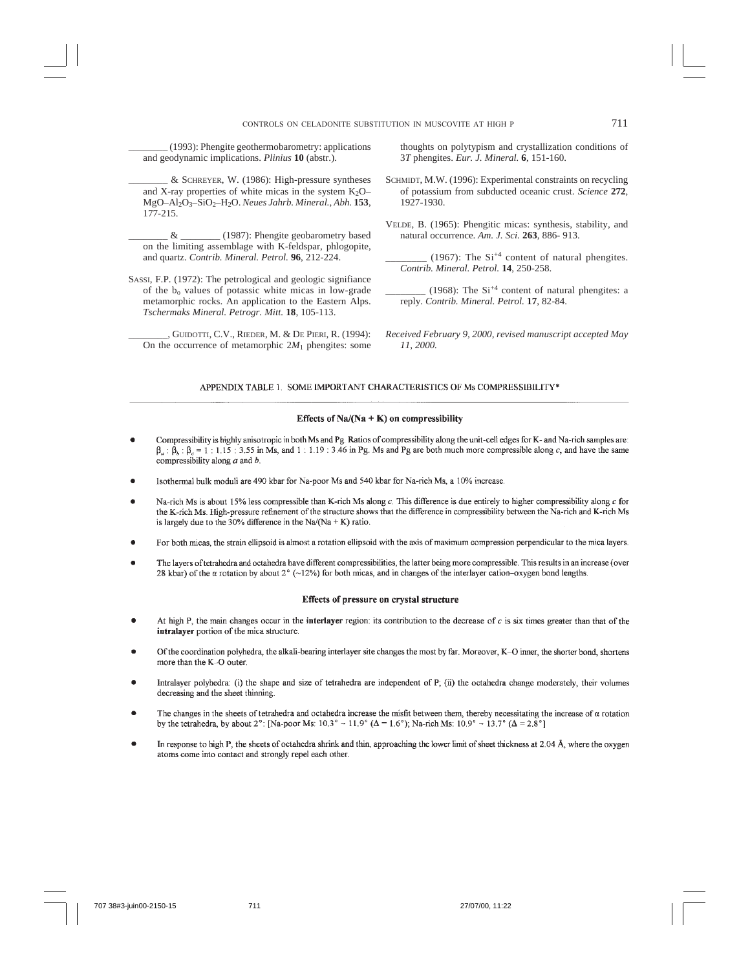\_\_\_\_\_\_\_\_ (1993): Phengite geothermobarometry: applications and geodynamic implications. *Plinius* **10** (abstr.).

\_\_\_\_\_\_\_\_ & SCHREYER, W. (1986): High-pressure syntheses and X-ray properties of white micas in the system  $K_2O-$ MgO–Al2O3–SiO2–H2O. *Neues Jahrb. Mineral., Abh.* **153**, 177-215.

\_\_\_\_\_\_\_\_ & \_\_\_\_\_\_\_\_ (1987): Phengite geobarometry based on the limiting assemblage with K-feldspar, phlogopite, and quartz. *Contrib. Mineral. Petrol.* **96**, 212-224.

- SASSI, F.P. (1972): The petrological and geologic signifiance of the  $b_0$  values of potassic white micas in low-grade metamorphic rocks. An application to the Eastern Alps. *Tschermaks Mineral. Petrogr. Mitt.* **18**, 105-113.
	- \_\_\_\_\_\_\_\_, GUIDOTTI, C.V., RIEDER, M. & DE PIERI, R. (1994): On the occurrence of metamorphic  $2M_1$  phengites: some

thoughts on polytypism and crystallization conditions of 3*T* phengites. *Eur. J. Mineral.* **6**, 151-160.

- SCHMIDT, M.W. (1996): Experimental constraints on recycling of potassium from subducted oceanic crust. *Science* **272**, 1927-1930.
- VELDE, B. (1965): Phengitic micas: synthesis, stability, and natural occurrence. *Am. J. Sci.* **263**, 886- 913.

 $(1967)$ : The Si<sup>+4</sup> content of natural phengites. *Contrib. Mineral. Petrol.* **14**, 250-258.

(1968): The  $Si^{+4}$  content of natural phengites: a reply. *Contrib. Mineral. Petrol.* **17**, 82-84.

*Received February 9, 2000, revised manuscript accepted May 11, 2000.*

#### APPENDIX TABLE 1. SOME IMPORTANT CHARACTERISTICS OF Ms COMPRESSIBILITY\*

#### Effects of Na/(Na + K) on compressibility

- Compressibility is highly anisotropic in both Ms and Pg. Ratios of compressibility along the unit-cell edges for K- and Na-rich samples are:  $\beta_a$ :  $\beta_b$ :  $\beta_c = 1$ : 1.15: 3.55 in Ms, and 1: 1.19: 3.46 in Pg. Ms and Pg are both much more compressible along c, and have the same compressibility along  $a$  and  $b$ .
- Isothermal bulk moduli are 490 kbar for Na-poor Ms and 540 kbar for Na-rich Ms, a 10% increase.
- Na-rich Ms is about 15% less compressible than K-rich Ms along c. This difference is due entirely to higher compressibility along c for the K-rich Ms. High-pressure refinement of the structure shows that the difference in compressibility between the Na-rich and K-rich Ms is largely due to the 30% difference in the Na/(Na + K) ratio.
- For both micas, the strain ellipsoid is almost a rotation ellipsoid with the axis of maximum compression perpendicular to the mica layers.
- The layers of tetrahedra and octahedra have different compressibilities, the latter being more compressible. This results in an increase (over 28 kbar) of the  $\alpha$  rotation by about 2° (~12%) for both micas, and in changes of the interlayer cation-oxygen bond lengths.

## Effects of pressure on crystal structure

- At high P, the main changes occur in the interlayer region: its contribution to the decrease of  $c$  is six times greater than that of the intralayer portion of the mica structure.
- Of the coordination polyhedra, the alkali-bearing interlayer site changes the most by far. Moreover, K-O inner, the shorter bond, shortens more than the K-O outer.
- Intralayer polyhedra: (i) the shape and size of tetrahedra are independent of P; (ii) the octahedra change moderately, their volumes decreasing and the sheet thinning.
- The changes in the sheets of tetrahedra and octahedra increase the misfit between them, thereby necessitating the increase of  $\alpha$  rotation by the tetrahedra, by about 2°: [Na-poor Ms:  $10.3^\circ \rightarrow 11.9^\circ$  ( $\Delta = 1.6^\circ$ ); Na-rich Ms:  $10.9^\circ \rightarrow 13.7^\circ$  ( $\Delta = 2.8^\circ$ ]
- In response to high P, the sheets of octahedra shrink and thin, approaching the lower limit of sheet thickness at 2.04 Å, where the oxygen atoms come into contact and strongly repel each other.